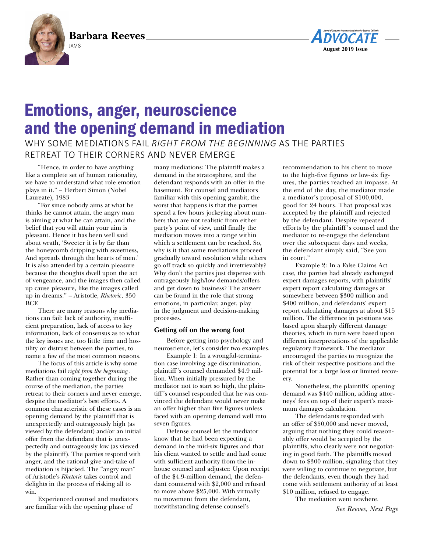**Barbara Reeves**





# Emotions, anger, neuroscience and the opening demand in mediation

WHY SOME MEDIATIONS FAIL *RIGHT FROM THE BEGINNING* AS THE PARTIES RETREAT TO THEIR CORNERS AND NEVER EMERGE

"Hence, in order to have anything like a complete set of human rationality, we have to understand what role emotion plays in it." – Herbert Simon (Nobel Laureate), 1983

 "For since nobody aims at what he thinks he cannot attain, the angry man is aiming at what he can attain, and the belief that you will attain your aim is pleasant. Hence it has been well said about wrath, 'Sweeter it is by far than the honeycomb dripping with sweetness, And spreads through the hearts of men.' It is also attended by a certain pleasure because the thoughts dwell upon the act of vengeance, and the images then called up cause pleasure, like the images called up in dreams." – Aristotle, *Rhetoric*, 350 **BCF** 

 There are many reasons why mediations can fail: lack of authority, insufficient preparation, lack of access to key information, lack of consensus as to what the key issues are, too little time and hostility or distrust between the parties, to name a few of the most common reasons.

 The focus of this article is why some mediations fail *right from the beginning*. Rather than coming together during the course of the mediation, the parties retreat to their corners and never emerge, despite the mediator's best efforts. A common characteristic of these cases is an opening demand by the plaintiff that is unexpectedly and outrageously high (as viewed by the defendant) and/or an initial offer from the defendant that is unexpectedly and outrageously low (as viewed by the plaintiff). The parties respond with anger, and the rational give-and-take of mediation is hijacked. The "angry man" of Aristotle's *Rhetoric* takes control and delights in the process of risking all to win.

 Experienced counsel and mediators are familiar with the opening phase of

many mediations: The plaintiff makes a demand in the stratosphere, and the defendant responds with an offer in the basement. For counsel and mediators familiar with this opening gambit, the worst that happens is that the parties spend a few hours jockeying about numbers that are not realistic from either party's point of view, until finally the mediation moves into a range within which a settlement can be reached. So, why is it that some mediations proceed gradually toward resolution while others go off track so quickly and irretrievably? Why don't the parties just dispense with outrageously high/low demands/offers and get down to business? The answer can be found in the role that strong emotions, in particular, anger, play in the judgment and decision-making processes.

## **Getting off on the wrong foot**

 Before getting into psychology and neuroscience, let's consider two examples.

 Example 1: In a wrongful-termination case involving age discrimination, plaintiff 's counsel demanded \$4.9 million. When initially pressured by the mediator not to start so high, the plaintiff 's counsel responded that he was convinced the defendant would never make an offer higher than five figures unless faced with an opening demand well into seven figures.

 Defense counsel let the mediator know that he had been expecting a demand in the mid-six figures and that his client wanted to settle and had come with sufficient authority from the inhouse counsel and adjuster. Upon receipt of the \$4.9-million demand, the defendant countered with \$2,000 and refused to move above \$25,000. With virtually no movement from the defendant, notwithstanding defense counsel's

recommendation to his client to move to the high-five figures or low-six figures, the parties reached an impasse. At the end of the day, the mediator made a mediator's proposal of \$100,000, good for 24 hours. That proposal was accepted by the plaintiff and rejected by the defendant. Despite repeated efforts by the plaintiff 's counsel and the mediator to re-engage the defendant over the subsequent days and weeks, the defendant simply said, "See you in court."

 Example 2: In a False Claims Act case, the parties had already exchanged expert damages reports, with plaintiffs' expert report calculating damages at somewhere between \$300 million and \$400 million, and defendants' expert report calculating damages at about \$15 million. The difference in positions was based upon sharply different damage theories, which in turn were based upon different interpretations of the applicable regulatory framework. The mediator encouraged the parties to recognize the risk of their respective positions and the potential for a large loss or limited recovery.

 Nonetheless, the plaintiffs' opening demand was \$440 million, adding attorneys' fees on top of their expert's maximum damages calculation.

 The defendants responded with an offer of \$50,000 and never moved, arguing that nothing they could reasonably offer would be accepted by the plaintiffs, who clearly were not negotiating in good faith. The plaintiffs moved down to \$300 million, signaling that they were willing to continue to negotiate, but the defendants, even though they had come with settlement authority of at least \$10 million, refused to engage.

The mediation went nowhere.

*See Reeves, Next Page*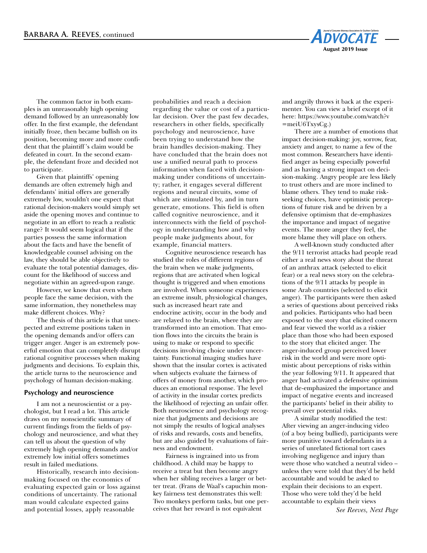

 The common factor in both examples is an unreasonably high opening demand followed by an unreasonably low offer. In the first example, the defendant initially froze, then became bullish on its position, becoming more and more confident that the plaintiff 's claim would be defeated in court. In the second example, the defendant froze and decided not to participate.

 Given that plaintiffs' opening demands are often extremely high and defendants' initial offers are generally extremely low, wouldn't one expect that rational decision-makers would simply set aside the opening moves and continue to negotiate in an effort to reach a realistic range? It would seem logical that if the parties possess the same information about the facts and have the benefit of knowledgeable counsel advising on the law, they should be able objectively to evaluate the total potential damages, discount for the likelihood of success and negotiate within an agreed-upon range.

 However, we know that even when people face the same decision, with the same information, they nonetheless may make different choices. Why?

 The thesis of this article is that unexpected and extreme positions taken in the opening demands and/or offers can trigger anger. Anger is an extremely powerful emotion that can completely disrupt rational cognitive processes when making judgments and decisions. To explain this, the article turns to the neuroscience and psychology of human decision-making.

### **Psychology and neuroscience**

 I am not a neuroscientist or a psychologist, but I read a lot. This article draws on my nonscientific summary of current findings from the fields of psychology and neuroscience, and what they can tell us about the question of why extremely high opening demands and/or extremely low initial offers sometimes result in failed mediations.

 Historically, research into decisionmaking focused on the economics of evaluating expected gain or loss against conditions of uncertainty. The rational man would calculate expected gains and potential losses, apply reasonable

probabilities and reach a decision regarding the value or cost of a particular decision. Over the past few decades, researchers in other fields, specifically psychology and neuroscience, have been trying to understand how the brain handles decision-making. They have concluded that the brain does not use a unified neural path to process information when faced with decisionmaking under conditions of uncertainty; rather, it engages several different regions and neural circuits, some of which are stimulated by, and in turn generate, emotions. This field is often called cognitive neuroscience, and it interconnects with the field of psychology in understanding how and why people make judgments about, for example, financial matters.

 Cognitive neuroscience research has studied the roles of different regions of the brain when we make judgments, regions that are activated when logical thought is triggered and when emotions are involved. When someone experiences an extreme insult, physiological changes, such as increased heart rate and endocrine activity, occur in the body and are relayed to the brain, where they are transformed into an emotion. That emotion flows into the circuits the brain is using to make or respond to specific decisions involving choice under uncertainty. Functional imaging studies have shown that the insular cortex is activated when subjects evaluate the fairness of offers of money from another, which produces an emotional response. The level of activity in the insular cortex predicts the likelihood of rejecting an unfair offer. Both neuroscience and psychology recognize that judgments and decisions are not simply the results of logical analyses of risks and rewards, costs and benefits, but are also guided by evaluations of fairness and endowment.

 Fairness is ingrained into us from childhood. A child may be happy to receive a treat but then become angry when her sibling receives a larger or better treat. (Frans de Waal's capuchin monkey fairness test demonstrates this well: Two monkeys perform tasks, but one perceives that her reward is not equivalent

and angrily throws it back at the experimenter. You can view a brief except of it here: [https://www.youtube.com/watch?v](https://www.youtube.com/watch?v=meiU6TxysCg)  $=$ meiU6TxysCg.)

 There are a number of emotions that impact decision-making: joy, sorrow, fear, anxiety and anger, to name a few of the most common. Researchers have identified anger as being especially powerful and as having a strong impact on decision-making. Angry people are less likely to trust others and are more inclined to blame others. They tend to make riskseeking choices, have optimistic perceptions of future risk and be driven by a defensive optimism that de-emphasizes the importance and impact of negative events. The more anger they feel, the more blame they will place on others.

 A well-known study conducted after the 9/11 terrorist attacks had people read either a real news story about the threat of an anthrax attack (selected to elicit fear) or a real news story on the celebrations of the 9/11 attacks by people in some Arab countries (selected to elicit anger). The participants were then asked a series of questions about perceived risks and policies. Participants who had been exposed to the story that elicited concern and fear viewed the world as a riskier place than those who had been exposed to the story that elicited anger. The anger-induced group perceived lower risk in the world and were more optimistic about perceptions of risks within the year following 9/11. It appeared that anger had activated a defensive optimism that de-emphasized the importance and impact of negative events and increased the participants' belief in their ability to prevail over potential risks.

 A similar study modified the test: After viewing an anger-inducing video (of a boy being bullied), participants were more punitive toward defendants in a series of unrelated fictional tort cases involving negligence and injury than were those who watched a neutral video – unless they were told that they'd be held accountable and would be asked to explain their decisions to an expert. Those who were told they'd be held accountable to explain their views

*See Reeves, Next Page*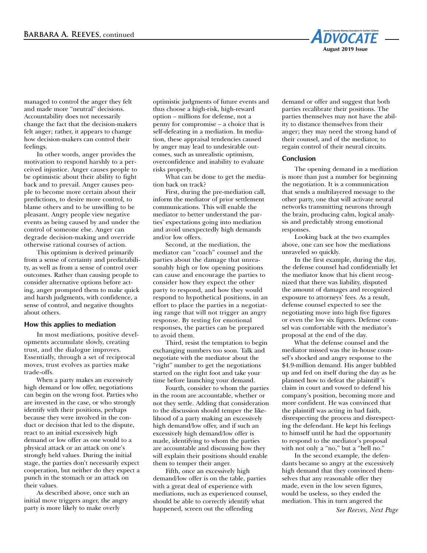

managed to control the anger they felt and made more "neutral" decisions. Accountability does not necessarily change the fact that the decision-makers felt anger; rather, it appears to change how decision-makers can control their feelings.

 In other words, anger provides the motivation to respond harshly to a perceived injustice. Anger causes people to be optimistic about their ability to fight back and to prevail. Anger causes people to become more certain about their predictions, to desire more control, to blame others and to be unwilling to be pleasant. Angry people view negative events as being caused by and under the control of someone else. Anger can degrade decision-making and override otherwise rational courses of action.

 This optimism is derived primarily from a sense of certainty and predictability, as well as from a sense of control over outcomes. Rather than causing people to consider alternative options before acting, anger prompted them to make quick and harsh judgments, with confidence, a sense of control, and negative thoughts about others.

### **How this applies to mediation**

In most mediations, positive developments accumulate slowly, creating trust, and the dialogue improves. Essentially, through a set of reciprocal moves, trust evolves as parties make trade-offs.

When a party makes an excessively high demand or low offer, negotiations can begin on the wrong foot. Parties who are invested in the case, or who strongly identify with their positions, perhaps because they were involved in the conduct or decision that led to the dispute, react to an initial excessively high demand or low offer as one would to a physical attack or an attack on one's strongly held values. During the initial stage, the parties don't necessarily expect cooperation, but neither do they expect a punch in the stomach or an attack on their values.

 As described above, once such an initial move triggers anger, the angry party is more likely to make overly

optimistic judgments of future events and thus choose a high-risk, high-reward option – millions for defense, not a penny for compromise – a choice that is self-defeating in a mediation. In mediation, these appraisal tendencies caused by anger may lead to undesirable outcomes, such as unrealistic optimism, overconfidence and inability to evaluate risks properly.

 What can be done to get the mediation back on track?

 First, during the pre-mediation call, inform the mediator of prior settlement communications. This will enable the mediator to better understand the parties' expectations going into mediation and avoid unexpectedly high demands and/or low offers.

 Second, at the mediation, the mediator can "coach" counsel and the parties about the damage that unreasonably high or low opening positions can cause and encourage the parties to consider how they expect the other party to respond, and how they would respond to hypothetical positions, in an effort to place the parties in a negotiating range that will not trigger an angry response. By testing for emotional responses, the parties can be prepared to avoid them.

 Third, resist the temptation to begin exchanging numbers too soon. Talk and negotiate with the mediator about the "right" number to get the negotiations started on the right foot and take your time before launching your demand.

 Fourth, consider to whom the parties in the room are accountable, whether or not they settle. Adding that consideration to the discussion should temper the likelihood of a party making an excessively high demand/low offer, and if such an excessively high demand/low offer is made, identifying to whom the parties are accountable and discussing how they will explain their positions should enable them to temper their anger.

 Fifth, once an excessively high demand/low offer is on the table, parties with a great deal of experience with mediations, such as experienced counsel, should be able to correctly identify what happened, screen out the offending

demand or offer and suggest that both parties recalibrate their positions. The parties themselves may not have the ability to distance themselves from their anger; they may need the strong hand of their counsel, and of the mediator, to regain control of their neural circuits.

#### **Conclusion**

 The opening demand in a mediation is more than just a number for beginning the negotiation. It is a communication that sends a multilayered message to the other party, one that will activate neural networks transmitting neurons through the brain, producing calm, logical analysis and predictably strong emotional responses.

 Looking back at the two examples above, one can see how the mediations unraveled so quickly.

 In the first example, during the day, the defense counsel had confidentially let the mediator know that his client recognized that there was liability, disputed the amount of damages and recognized exposure to attorneys' fees. As a result, defense counsel expected to see the negotiating move into high five figures or even the low six figures. Defense counsel was comfortable with the mediator's proposal at the end of the day.

 What the defense counsel and the mediator missed was the in-house counsel's shocked and angry response to the \$4.9-million demand. His anger bubbled up and fed on itself during the day as he planned how to defeat the plaintiff 's claim in court and vowed to defend his company's position, becoming more and more confident. He was convinced that the plaintiff was acting in bad faith, disrespecting the process and disrespecting the defendant. He kept his feelings to himself until he had the opportunity to respond to the mediator's proposal with not only a "no," but a "hell no."

 In the second example, the defendants became so angry at the excessively high demand that they convinced themselves that any reasonable offer they made, even in the low seven figures, would be useless, so they ended the mediation. This in turn angered the

*See Reeves, Next Page*